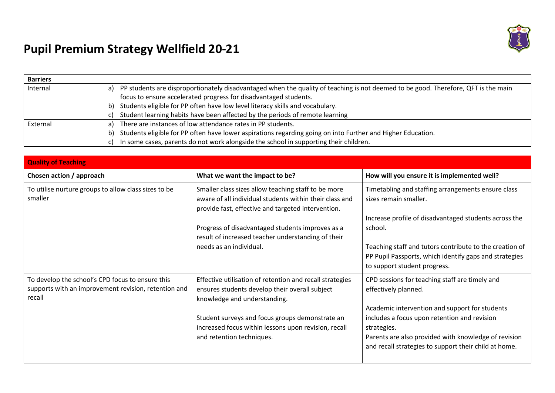

## **Pupil Premium Strategy Wellfield 20-21**

| <b>Barriers</b> |                                                                                                                                          |
|-----------------|------------------------------------------------------------------------------------------------------------------------------------------|
| Internal        | PP students are disproportionately disadvantaged when the quality of teaching is not deemed to be good. Therefore, QFT is the main<br>a) |
|                 | focus to ensure accelerated progress for disadvantaged students.                                                                         |
|                 | b) Students eligible for PP often have low level literacy skills and vocabulary.                                                         |
|                 | Student learning habits have been affected by the periods of remote learning                                                             |
| External        | There are instances of low attendance rates in PP students.<br>al                                                                        |
|                 | b) Students eligible for PP often have lower aspirations regarding going on into Further and Higher Education.                           |
|                 | In some cases, parents do not work alongside the school in supporting their children.                                                    |

| <b>Quality of Teaching</b>                                                                                         |                                                                                                                                                                      |                                                                                                                                                                                                                                |
|--------------------------------------------------------------------------------------------------------------------|----------------------------------------------------------------------------------------------------------------------------------------------------------------------|--------------------------------------------------------------------------------------------------------------------------------------------------------------------------------------------------------------------------------|
| Chosen action / approach                                                                                           | What we want the impact to be?                                                                                                                                       | How will you ensure it is implemented well?                                                                                                                                                                                    |
| To utilise nurture groups to allow class sizes to be<br>smaller                                                    | Smaller class sizes allow teaching staff to be more<br>aware of all individual students within their class and<br>provide fast, effective and targeted intervention. | Timetabling and staffing arrangements ensure class<br>sizes remain smaller.                                                                                                                                                    |
|                                                                                                                    | Progress of disadvantaged students improves as a<br>result of increased teacher understanding of their                                                               | Increase profile of disadvantaged students across the<br>school.                                                                                                                                                               |
|                                                                                                                    | needs as an individual.                                                                                                                                              | Teaching staff and tutors contribute to the creation of<br>PP Pupil Passports, which identify gaps and strategies<br>to support student progress.                                                                              |
| To develop the school's CPD focus to ensure this<br>supports with an improvement revision, retention and<br>recall | Effective utilisation of retention and recall strategies<br>ensures students develop their overall subject<br>knowledge and understanding.                           | CPD sessions for teaching staff are timely and<br>effectively planned.                                                                                                                                                         |
|                                                                                                                    | Student surveys and focus groups demonstrate an<br>increased focus within lessons upon revision, recall<br>and retention techniques.                                 | Academic intervention and support for students<br>includes a focus upon retention and revision<br>strategies.<br>Parents are also provided with knowledge of revision<br>and recall strategies to support their child at home. |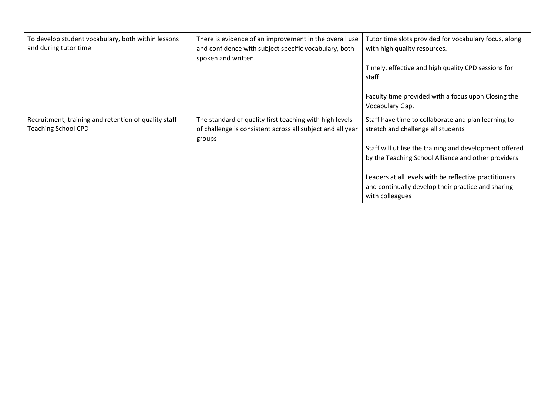| To develop student vocabulary, both within lessons<br>and during tutor time          | There is evidence of an improvement in the overall use<br>and confidence with subject specific vocabulary, both<br>spoken and written. | Tutor time slots provided for vocabulary focus, along<br>with high quality resources.<br>Timely, effective and high quality CPD sessions for<br>staff.<br>Faculty time provided with a focus upon Closing the<br>Vocabulary Gap.                                                                                                               |
|--------------------------------------------------------------------------------------|----------------------------------------------------------------------------------------------------------------------------------------|------------------------------------------------------------------------------------------------------------------------------------------------------------------------------------------------------------------------------------------------------------------------------------------------------------------------------------------------|
| Recruitment, training and retention of quality staff -<br><b>Teaching School CPD</b> | The standard of quality first teaching with high levels<br>of challenge is consistent across all subject and all year<br>groups        | Staff have time to collaborate and plan learning to<br>stretch and challenge all students<br>Staff will utilise the training and development offered<br>by the Teaching School Alliance and other providers<br>Leaders at all levels with be reflective practitioners<br>and continually develop their practice and sharing<br>with colleagues |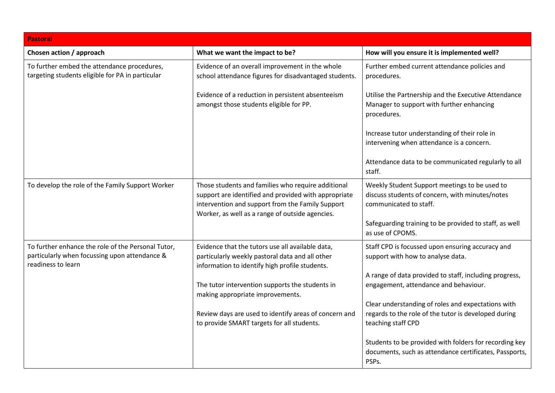| <b>Pastoral</b>                                                                                                           |                                                                                                                                                                                                                   |                                                                                                                                  |
|---------------------------------------------------------------------------------------------------------------------------|-------------------------------------------------------------------------------------------------------------------------------------------------------------------------------------------------------------------|----------------------------------------------------------------------------------------------------------------------------------|
| Chosen action / approach                                                                                                  | What we want the impact to be?                                                                                                                                                                                    | How will you ensure it is implemented well?                                                                                      |
| To further embed the attendance procedures,<br>targeting students eligible for PA in particular                           | Evidence of an overall improvement in the whole<br>school attendance figures for disadvantaged students.                                                                                                          | Further embed current attendance policies and<br>procedures.                                                                     |
|                                                                                                                           | Evidence of a reduction in persistent absenteeism<br>amongst those students eligible for PP.                                                                                                                      | Utilise the Partnership and the Executive Attendance<br>Manager to support with further enhancing<br>procedures.                 |
|                                                                                                                           |                                                                                                                                                                                                                   | Increase tutor understanding of their role in<br>intervening when attendance is a concern.                                       |
|                                                                                                                           |                                                                                                                                                                                                                   | Attendance data to be communicated regularly to all<br>staff.                                                                    |
| To develop the role of the Family Support Worker                                                                          | Those students and families who require additional<br>support are identified and provided with appropriate<br>intervention and support from the Family Support<br>Worker, as well as a range of outside agencies. | Weekly Student Support meetings to be used to<br>discuss students of concern, with minutes/notes<br>communicated to staff.       |
|                                                                                                                           |                                                                                                                                                                                                                   | Safeguarding training to be provided to staff, as well<br>as use of CPOMS.                                                       |
| To further enhance the role of the Personal Tutor,<br>particularly when focussing upon attendance &<br>readiness to learn | Evidence that the tutors use all available data,<br>particularly weekly pastoral data and all other<br>information to identify high profile students.                                                             | Staff CPD is focussed upon ensuring accuracy and<br>support with how to analyse data.                                            |
|                                                                                                                           | The tutor intervention supports the students in<br>making appropriate improvements.                                                                                                                               | A range of data provided to staff, including progress,<br>engagement, attendance and behaviour.                                  |
|                                                                                                                           | Review days are used to identify areas of concern and<br>to provide SMART targets for all students.                                                                                                               | Clear understanding of roles and expectations with<br>regards to the role of the tutor is developed during<br>teaching staff CPD |
|                                                                                                                           |                                                                                                                                                                                                                   | Students to be provided with folders for recording key<br>documents, such as attendance certificates, Passports,<br>PSPs.        |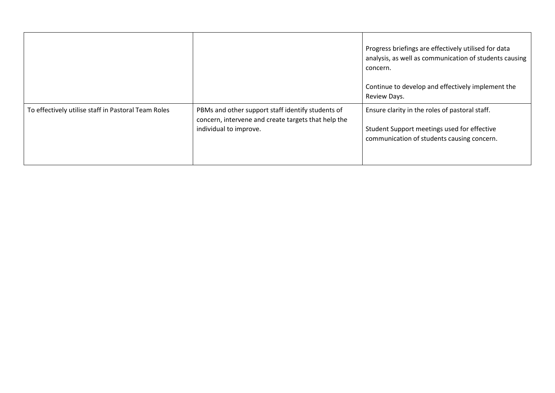|                                                     |                                                                                                                                    | Progress briefings are effectively utilised for data<br>analysis, as well as communication of students causing<br>concern.<br>Continue to develop and effectively implement the<br>Review Days. |
|-----------------------------------------------------|------------------------------------------------------------------------------------------------------------------------------------|-------------------------------------------------------------------------------------------------------------------------------------------------------------------------------------------------|
| To effectively utilise staff in Pastoral Team Roles | PBMs and other support staff identify students of<br>concern, intervene and create targets that help the<br>individual to improve. | Ensure clarity in the roles of pastoral staff.<br>Student Support meetings used for effective<br>communication of students causing concern.                                                     |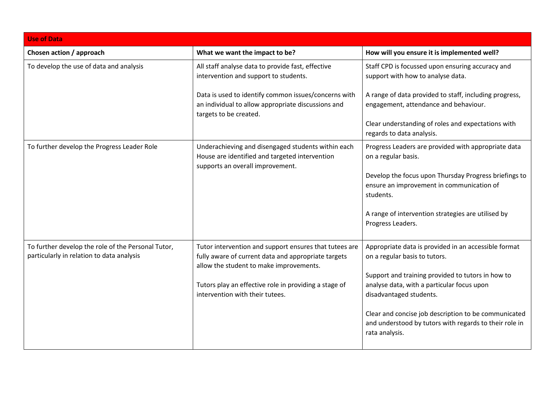| <b>Use of Data</b>                                                                              |                                                                                                                                                          |                                                                                                                                  |
|-------------------------------------------------------------------------------------------------|----------------------------------------------------------------------------------------------------------------------------------------------------------|----------------------------------------------------------------------------------------------------------------------------------|
| Chosen action / approach                                                                        | What we want the impact to be?                                                                                                                           | How will you ensure it is implemented well?                                                                                      |
| To develop the use of data and analysis                                                         | All staff analyse data to provide fast, effective<br>intervention and support to students.                                                               | Staff CPD is focussed upon ensuring accuracy and<br>support with how to analyse data.                                            |
|                                                                                                 | Data is used to identify common issues/concerns with<br>an individual to allow appropriate discussions and<br>targets to be created.                     | A range of data provided to staff, including progress,<br>engagement, attendance and behaviour.                                  |
|                                                                                                 |                                                                                                                                                          | Clear understanding of roles and expectations with<br>regards to data analysis.                                                  |
| To further develop the Progress Leader Role                                                     | Underachieving and disengaged students within each<br>House are identified and targeted intervention<br>supports an overall improvement.                 | Progress Leaders are provided with appropriate data<br>on a regular basis.                                                       |
|                                                                                                 |                                                                                                                                                          | Develop the focus upon Thursday Progress briefings to<br>ensure an improvement in communication of<br>students.                  |
|                                                                                                 |                                                                                                                                                          | A range of intervention strategies are utilised by<br>Progress Leaders.                                                          |
| To further develop the role of the Personal Tutor,<br>particularly in relation to data analysis | Tutor intervention and support ensures that tutees are<br>fully aware of current data and appropriate targets<br>allow the student to make improvements. | Appropriate data is provided in an accessible format<br>on a regular basis to tutors.                                            |
|                                                                                                 | Tutors play an effective role in providing a stage of<br>intervention with their tutees.                                                                 | Support and training provided to tutors in how to<br>analyse data, with a particular focus upon<br>disadvantaged students.       |
|                                                                                                 |                                                                                                                                                          | Clear and concise job description to be communicated<br>and understood by tutors with regards to their role in<br>rata analysis. |